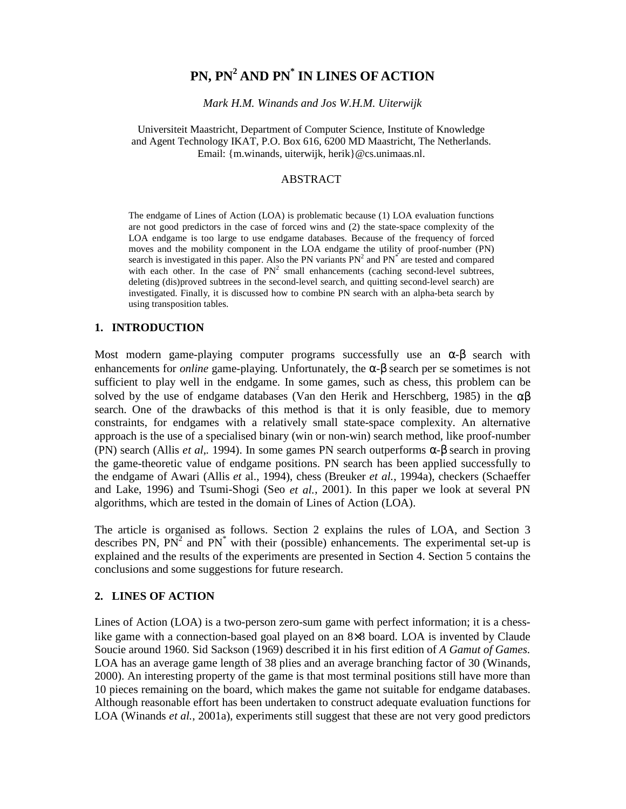# **PN, PN2 AND PN\* IN LINES OF ACTION**

*Mark H.M. Winands and Jos W.H.M. Uiterwijk* 

Universiteit Maastricht, Department of Computer Science, Institute of Knowledge and Agent Technology IKAT, P.O. Box 616, 6200 MD Maastricht, The Netherlands. Email: {m.winands, uiterwijk, herik}@cs.unimaas.nl.

#### ABSTRACT

The endgame of Lines of Action (LOA) is problematic because (1) LOA evaluation functions are not good predictors in the case of forced wins and (2) the state-space complexity of the LOA endgame is too large to use endgame databases. Because of the frequency of forced moves and the mobility component in the LOA endgame the utility of proof-number (PN) search is investigated in this paper. Also the PN variants  $PN<sup>2</sup>$  and  $PN<sup>*</sup>$  are tested and compared with each other. In the case of  $PN<sup>2</sup>$  small enhancements (caching second-level subtrees, deleting (dis)proved subtrees in the second-level search, and quitting second-level search) are investigated. Finally, it is discussed how to combine PN search with an alpha-beta search by using transposition tables.

#### **1. INTRODUCTION**

Most modern game-playing computer programs successfully use an  $\alpha$ - $\beta$  search with enhancements for *online* game-playing. Unfortunately, the  $\alpha$ - $\beta$  search per se sometimes is not sufficient to play well in the endgame. In some games, such as chess, this problem can be solved by the use of endgame databases (Van den Herik and Herschberg, 1985) in the  $\alpha\beta$ search. One of the drawbacks of this method is that it is only feasible, due to memory constraints, for endgames with a relatively small state-space complexity. An alternative approach is the use of a specialised binary (win or non-win) search method, like proof-number (PN) search (Allis *et al*,*.* 1994). In some games PN search outperforms α-β search in proving the game-theoretic value of endgame positions. PN search has been applied successfully to the endgame of Awari (Allis *et* al., 1994), chess (Breuker *et al.*, 1994a), checkers (Schaeffer and Lake, 1996) and Tsumi-Shogi (Seo *et al.*, 2001). In this paper we look at several PN algorithms, which are tested in the domain of Lines of Action (LOA).

The article is organised as follows. Section 2 explains the rules of LOA, and Section 3 describes PN,  $PN^2$  and PN<sup>\*</sup> with their (possible) enhancements. The experimental set-up is explained and the results of the experiments are presented in Section 4. Section 5 contains the conclusions and some suggestions for future research.

#### **2. LINES OF ACTION**

Lines of Action (LOA) is a two-person zero-sum game with perfect information; it is a chesslike game with a connection-based goal played on an 8×8 board. LOA is invented by Claude Soucie around 1960. Sid Sackson (1969) described it in his first edition of *A Gamut of Games.* LOA has an average game length of 38 plies and an average branching factor of 30 (Winands, 2000). An interesting property of the game is that most terminal positions still have more than 10 pieces remaining on the board, which makes the game not suitable for endgame databases. Although reasonable effort has been undertaken to construct adequate evaluation functions for LOA (Winands *et al.*, 2001a), experiments still suggest that these are not very good predictors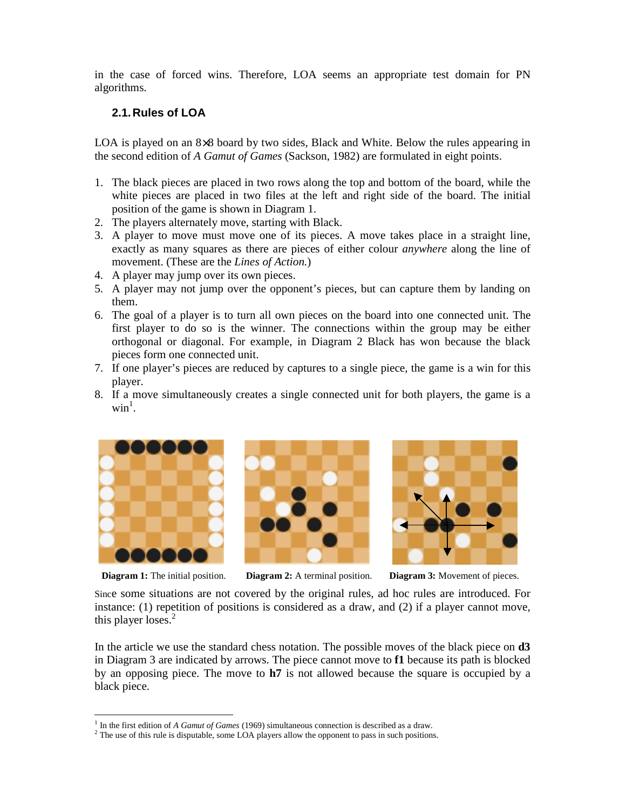in the case of forced wins. Therefore, LOA seems an appropriate test domain for PN algorithms.

## **2.1. Rules of LOA**

LOA is played on an 8×8 board by two sides, Black and White. Below the rules appearing in the second edition of *A Gamut of Games* (Sackson, 1982) are formulated in eight points.

- 1. The black pieces are placed in two rows along the top and bottom of the board, while the white pieces are placed in two files at the left and right side of the board. The initial position of the game is shown in Diagram 1.
- 2. The players alternately move, starting with Black.
- 3. A player to move must move one of its pieces. A move takes place in a straight line, exactly as many squares as there are pieces of either colour *anywhere* along the line of movement. (These are the *Lines of Action.*)
- 4. A player may jump over its own pieces.
- 5. A player may not jump over the opponent's pieces, but can capture them by landing on them.
- 6. The goal of a player is to turn all own pieces on the board into one connected unit. The first player to do so is the winner. The connections within the group may be either orthogonal or diagonal. For example, in Diagram 2 Black has won because the black pieces form one connected unit.
- 7. If one player's pieces are reduced by captures to a single piece, the game is a win for this player.
- 8. If a move simultaneously creates a single connected unit for both players, the game is a  $\text{win}^1$ .



-





**Diagram 1:** The initial position. **Diagram 2:** A terminal position. **Diagram 3:** Movement of pieces.

Since some situations are not covered by the original rules, ad hoc rules are introduced. For instance: (1) repetition of positions is considered as a draw, and (2) if a player cannot move, this player loses.<sup>2</sup>

In the article we use the standard chess notation. The possible moves of the black piece on **d3** in Diagram 3 are indicated by arrows. The piece cannot move to **f1** because its path is blocked by an opposing piece. The move to **h7** is not allowed because the square is occupied by a black piece.

<sup>&</sup>lt;sup>1</sup> In the first edition of *A Gamut of Games* (1969) simultaneous connection is described as a draw.

<sup>&</sup>lt;sup>2</sup> The use of this rule is disputable, some LOA players allow the opponent to pass in such positions.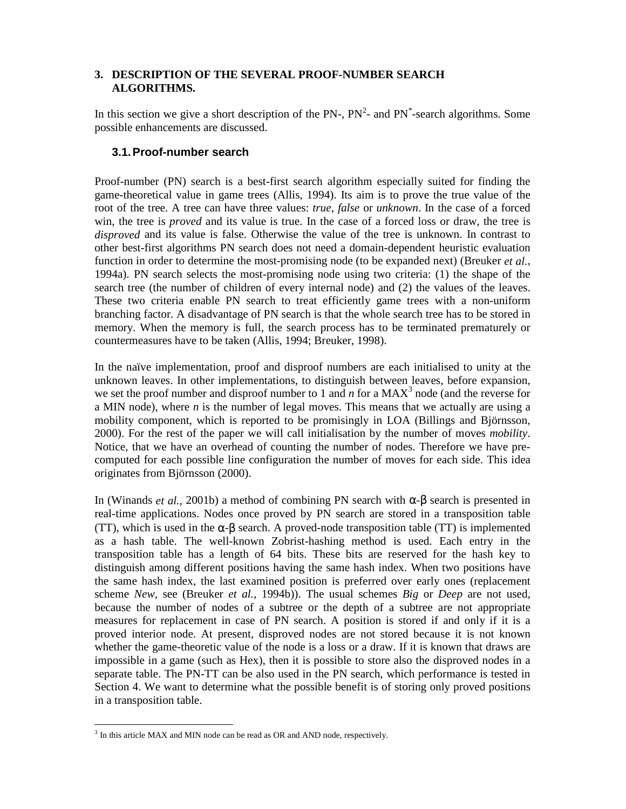### **3. DESCRIPTION OF THE SEVERAL PROOF-NUMBER SEARCH ALGORITHMS.**

In this section we give a short description of the PN-,  $PN^2$ - and PN<sup>\*</sup>-search algorithms. Some possible enhancements are discussed.

### **3.1. Proof-number search**

Proof-number (PN) search is a best-first search algorithm especially suited for finding the game-theoretical value in game trees (Allis, 1994). Its aim is to prove the true value of the root of the tree. A tree can have three values: *true*, *false* or *unknown*. In the case of a forced win, the tree is *proved* and its value is true. In the case of a forced loss or draw, the tree is *disproved* and its value is false. Otherwise the value of the tree is unknown. In contrast to other best-first algorithms PN search does not need a domain-dependent heuristic evaluation function in order to determine the most-promising node (to be expanded next) (Breuker *et al.*, 1994a). PN search selects the most-promising node using two criteria: (1) the shape of the search tree (the number of children of every internal node) and (2) the values of the leaves. These two criteria enable PN search to treat efficiently game trees with a non-uniform branching factor. A disadvantage of PN search is that the whole search tree has to be stored in memory. When the memory is full, the search process has to be terminated prematurely or countermeasures have to be taken (Allis, 1994; Breuker, 1998).

In the naïve implementation, proof and disproof numbers are each initialised to unity at the unknown leaves. In other implementations, to distinguish between leaves, before expansion, we set the proof number and disproof number to 1 and  $n$  for a MAX<sup>3</sup> node (and the reverse for a MIN node), where *n* is the number of legal moves. This means that we actually are using a mobility component, which is reported to be promisingly in LOA (Billings and Björnsson, 2000). For the rest of the paper we will call initialisation by the number of moves *mobility*. Notice, that we have an overhead of counting the number of nodes. Therefore we have precomputed for each possible line configuration the number of moves for each side. This idea originates from Björnsson (2000).

In (Winands *et al.,* 2001b) a method of combining PN search with α-β search is presented in real-time applications. Nodes once proved by PN search are stored in a transposition table (TT), which is used in the  $\alpha$ - $\beta$  search. A proved-node transposition table (TT) is implemented as a hash table. The well-known Zobrist-hashing method is used. Each entry in the transposition table has a length of 64 bits. These bits are reserved for the hash key to distinguish among different positions having the same hash index. When two positions have the same hash index, the last examined position is preferred over early ones (replacement scheme *New*, see (Breuker *et al.*, 1994b)). The usual schemes *Big* or *Deep* are not used, because the number of nodes of a subtree or the depth of a subtree are not appropriate measures for replacement in case of PN search. A position is stored if and only if it is a proved interior node. At present, disproved nodes are not stored because it is not known whether the game-theoretic value of the node is a loss or a draw. If it is known that draws are impossible in a game (such as Hex), then it is possible to store also the disproved nodes in a separate table. The PN-TT can be also used in the PN search, which performance is tested in Section 4. We want to determine what the possible benefit is of storing only proved positions in a transposition table.

-

 $3$  In this article MAX and MIN node can be read as OR and AND node, respectively.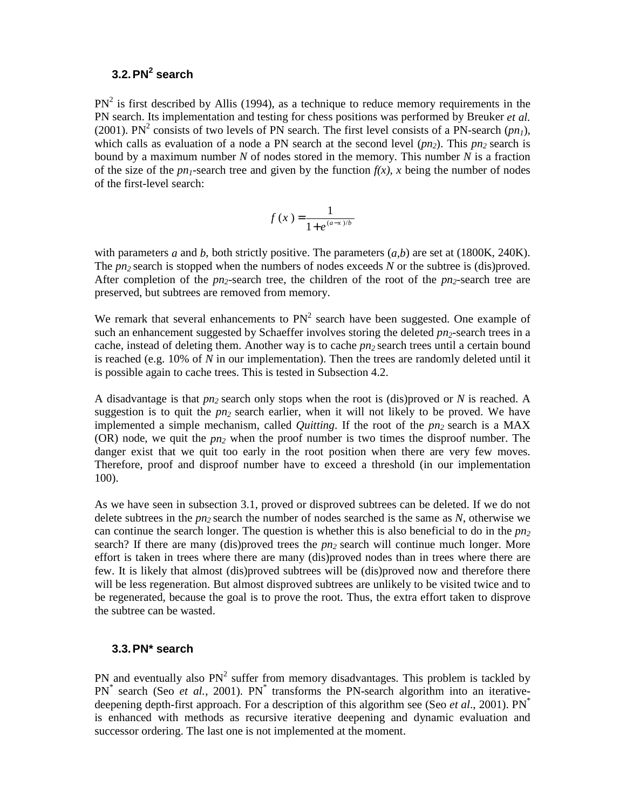# **3.2. PN<sup>2</sup> search**

 $PN<sup>2</sup>$  is first described by Allis (1994), as a technique to reduce memory requirements in the PN search. Its implementation and testing for chess positions was performed by Breuker *et al.*  (2001). PN<sup>2</sup> consists of two levels of PN search. The first level consists of a PN-search ( $pn_1$ ), which calls as evaluation of a node a PN search at the second level  $(pn_2)$ . This  $pn_2$  search is bound by a maximum number *N* of nodes stored in the memory. This number *N* is a fraction of the size of the  $pn_1$ -search tree and given by the function  $f(x)$ , *x* being the number of nodes of the first-level search:

$$
f(x) = \frac{1}{1+e^{(a-x)/b}}
$$

with parameters *a* and *b*, both strictly positive. The parameters  $(a, b)$  are set at (1800K, 240K). The *pn<sub>2</sub>* search is stopped when the numbers of nodes exceeds *N* or the subtree is (dis)proved. After completion of the  $p_{12}$ -search tree, the children of the root of the  $p_{12}$ -search tree are preserved, but subtrees are removed from memory.

We remark that several enhancements to  $PN<sup>2</sup>$  search have been suggested. One example of such an enhancement suggested by Schaeffer involves storing the deleted  $pn_2$ -search trees in a cache, instead of deleting them. Another way is to cache  $pn_2$  search trees until a certain bound is reached (e.g. 10% of *N* in our implementation). Then the trees are randomly deleted until it is possible again to cache trees. This is tested in Subsection 4.2.

A disadvantage is that *pn2* search only stops when the root is (dis)proved or *N* is reached. A suggestion is to quit the  $pn_2$  search earlier, when it will not likely to be proved. We have implemented a simple mechanism, called *Quitting*. If the root of the  $pn_2$  search is a MAX (OR) node, we quit the *pn2* when the proof number is two times the disproof number. The danger exist that we quit too early in the root position when there are very few moves. Therefore, proof and disproof number have to exceed a threshold (in our implementation 100).

As we have seen in subsection 3.1, proved or disproved subtrees can be deleted. If we do not delete subtrees in the  $pn_2$  search the number of nodes searched is the same as  $N$ , otherwise we can continue the search longer. The question is whether this is also beneficial to do in the  $p_n$ ? search? If there are many (dis)proved trees the *pn2* search will continue much longer. More effort is taken in trees where there are many (dis)proved nodes than in trees where there are few. It is likely that almost (dis)proved subtrees will be (dis)proved now and therefore there will be less regeneration. But almost disproved subtrees are unlikely to be visited twice and to be regenerated, because the goal is to prove the root. Thus, the extra effort taken to disprove the subtree can be wasted.

#### **3.3. PN\* search**

PN and eventually also  $PN<sup>2</sup>$  suffer from memory disadvantages. This problem is tackled by PN<sup>\*</sup> search (Seo *et al.*, 2001). PN<sup>\*</sup> transforms the PN-search algorithm into an iterativedeepening depth-first approach. For a description of this algorithm see (Seo *et al.*, 2001). PN<sup>\*</sup> is enhanced with methods as recursive iterative deepening and dynamic evaluation and successor ordering. The last one is not implemented at the moment.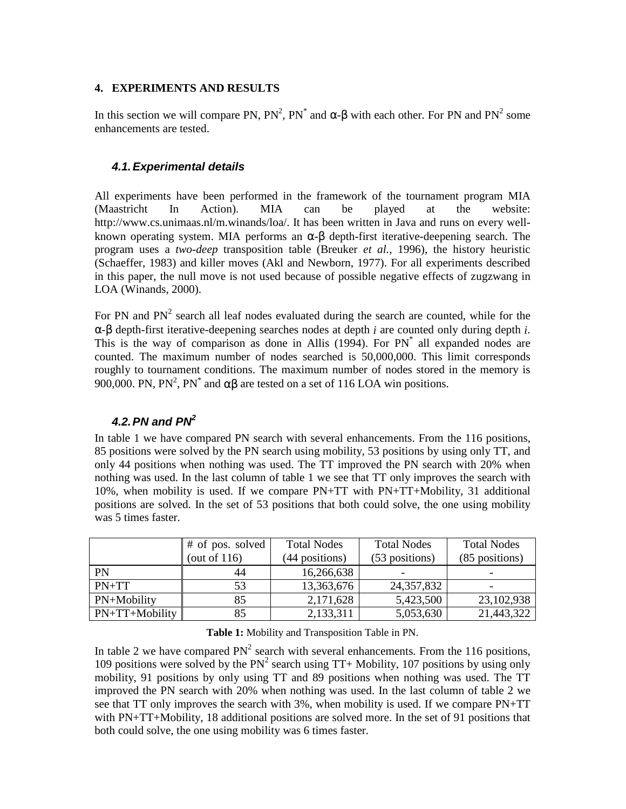#### **4. EXPERIMENTS AND RESULTS**

In this section we will compare PN,  $PN^2$ ,  $PN^*$  and  $\alpha$ -β with each other. For PN and PN<sup>2</sup> some enhancements are tested.

### *4.1. Experimental details*

All experiments have been performed in the framework of the tournament program MIA (Maastricht In Action). MIA can be played at the website: http://www.cs.unimaas.nl/m.winands/loa/. It has been written in Java and runs on every wellknown operating system. MIA performs an  $\alpha$ - $\beta$  depth-first iterative-deepening search. The program uses a *two-deep* transposition table (Breuker *et al.*, 1996), the history heuristic (Schaeffer, 1983) and killer moves (Akl and Newborn, 1977). For all experiments described in this paper, the null move is not used because of possible negative effects of zugzwang in LOA (Winands, 2000).

For PN and  $PN<sup>2</sup>$  search all leaf nodes evaluated during the search are counted, while for the α-β depth-first iterative-deepening searches nodes at depth *i* are counted only during depth *i*. This is the way of comparison as done in Allis (1994). For PN<sup>\*</sup> all expanded nodes are counted. The maximum number of nodes searched is 50,000,000. This limit corresponds roughly to tournament conditions. The maximum number of nodes stored in the memory is 900,000. PN, PN<sup>2</sup>, PN<sup>\*</sup> and αβ are tested on a set of 116 LOA win positions.

# *4.2. PN and PN2*

In table 1 we have compared PN search with several enhancements. From the 116 positions, 85 positions were solved by the PN search using mobility, 53 positions by using only TT, and only 44 positions when nothing was used. The TT improved the PN search with 20% when nothing was used. In the last column of table 1 we see that TT only improves the search with 10%, when mobility is used. If we compare PN+TT with PN+TT+Mobility, 31 additional positions are solved. In the set of 53 positions that both could solve, the one using mobility was 5 times faster.

|                | # of pos. solved | <b>Total Nodes</b><br><b>Total Nodes</b> |                | <b>Total Nodes</b> |
|----------------|------------------|------------------------------------------|----------------|--------------------|
|                | (out of $116$ )  | (44 positions)                           | (53 positions) | (85 positions)     |
| <b>PN</b>      | 44               | 16,266,638                               | -              |                    |
| $PN+TT$        | 53               | 13,363,676                               | 24, 357, 832   |                    |
| PN+Mobility    | 85               | 2,171,628                                | 5,423,500      | 23,102,938         |
| PN+TT+Mobility | 85               | 2,133,311                                | 5,053,630      | 21,443,322         |

**Table 1:** Mobility and Transposition Table in PN.

In table 2 we have compared  $PN^2$  search with several enhancements. From the 116 positions, 109 positions were solved by the  $PN^2$  search using TT+ Mobility, 107 positions by using only mobility, 91 positions by only using TT and 89 positions when nothing was used. The TT improved the PN search with 20% when nothing was used. In the last column of table 2 we see that TT only improves the search with 3%, when mobility is used. If we compare PN+TT with PN+TT+Mobility, 18 additional positions are solved more. In the set of 91 positions that both could solve, the one using mobility was 6 times faster.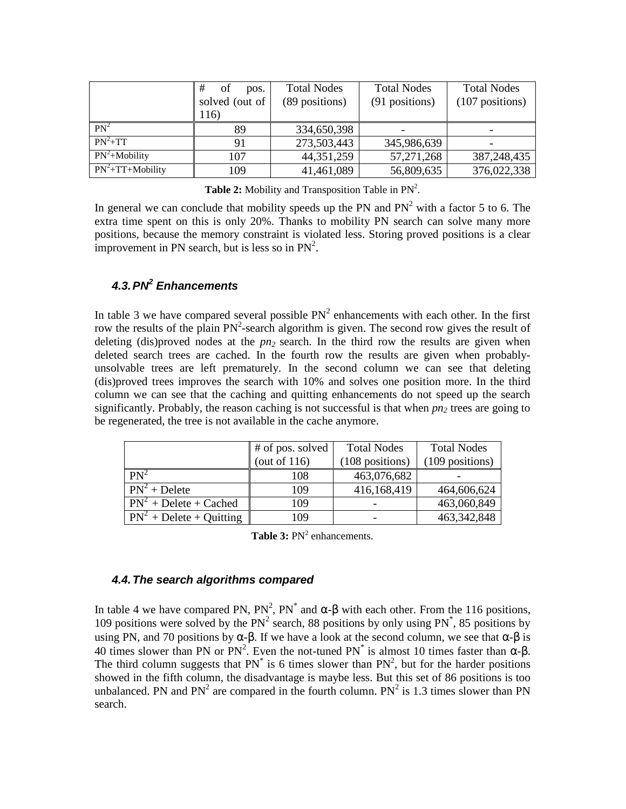|                             | #<br>οf<br>pos. | <b>Total Nodes</b> | <b>Total Nodes</b> | <b>Total Nodes</b> |
|-----------------------------|-----------------|--------------------|--------------------|--------------------|
|                             | solved (out of  | (89 positions)     | (91 positions)     | $(107$ positions)  |
|                             | 116)            |                    |                    |                    |
| $PN^2$                      | 89              | 334,650,398        |                    |                    |
| $PN^2+TT$                   | 91              | 273,503,443        | 345,986,639        |                    |
| $\overline{PN^2+M}$ obility | 107             | 44, 351, 259       | 57, 271, 268       | 387,248,435        |
| $PN^2+TT+Mobility$          | 109             | 41,461,089         | 56,809,635         | 376,022,338        |

**Table 2:** Mobility and Transposition Table in  $PN^2$ .

In general we can conclude that mobility speeds up the PN and  $PN<sup>2</sup>$  with a factor 5 to 6. The extra time spent on this is only 20%. Thanks to mobility PN search can solve many more positions, because the memory constraint is violated less. Storing proved positions is a clear improvement in PN search, but is less so in  $PN^2$ .

# *4.3. PN<sup>2</sup> Enhancements*

In table 3 we have compared several possible  $PN<sup>2</sup>$  enhancements with each other. In the first row the results of the plain  $PN^2$ -search algorithm is given. The second row gives the result of deleting (dis)proved nodes at the  $pn_2$  search. In the third row the results are given when deleted search trees are cached. In the fourth row the results are given when probablyunsolvable trees are left prematurely. In the second column we can see that deleting (dis)proved trees improves the search with 10% and solves one position more. In the third column we can see that the caching and quitting enhancements do not speed up the search significantly. Probably, the reason caching is not successful is that when  $pn_2$  trees are going to be regenerated, the tree is not available in the cache anymore.

|                            | # of pos. solved<br>(out of $116$ ) | <b>Total Nodes</b><br>(108 positions) | <b>Total Nodes</b><br>(109 positions) |
|----------------------------|-------------------------------------|---------------------------------------|---------------------------------------|
| $PN^2$                     | 108                                 | 463,076,682                           |                                       |
| $PN^2 + Delete$            | 109                                 | 416,168,419                           | 464,606,624                           |
| $PN^2 + Delete + Cached$   | 109                                 |                                       | 463,060,849                           |
| $PN^2 + Delete + Quinting$ | 109                                 |                                       | 463, 342, 848                         |

Table 3: PN<sup>2</sup> enhancements.

### *4.4. The search algorithms compared*

In table 4 we have compared PN,  $PN^2$ ,  $PN^*$  and  $\alpha$ -β with each other. From the 116 positions, 109 positions were solved by the  $PN<sup>2</sup>$  search, 88 positions by only using  $PN<sup>*</sup>$ , 85 positions by using PN, and 70 positions by  $\alpha$ - $\beta$ . If we have a look at the second column, we see that  $\alpha$ - $\beta$  is 40 times slower than PN or PN<sup>2</sup>. Even the not-tuned PN<sup>\*</sup> is almost 10 times faster than  $\alpha$ - $\beta$ . The third column suggests that  $PN^*$  is 6 times slower than  $PN^2$ , but for the harder positions showed in the fifth column, the disadvantage is maybe less. But this set of 86 positions is too unbalanced. PN and  $PN^2$  are compared in the fourth column.  $PN^2$  is 1.3 times slower than PN search.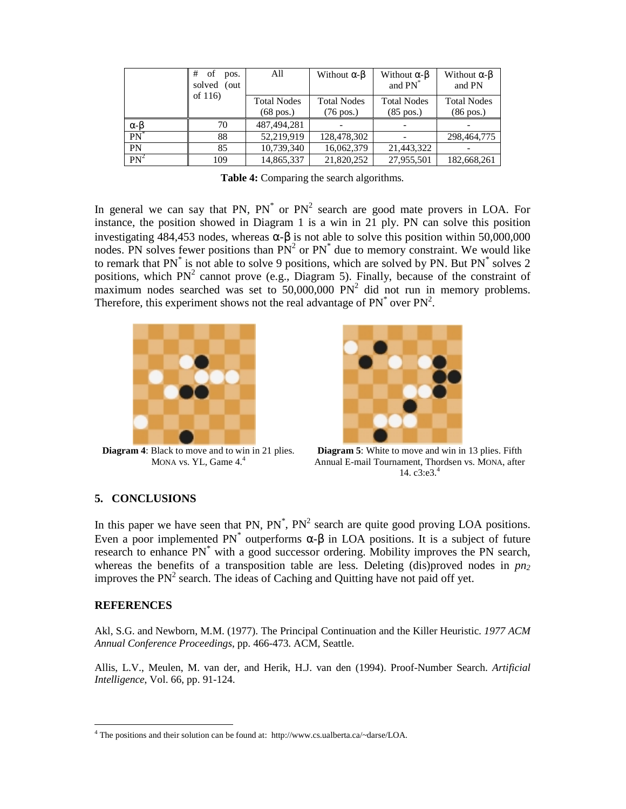|                 | #<br>of<br>pos.<br>solved<br>(out)        | All                                       | Without $\alpha$ - $\beta$                | Without $\alpha$ - $\beta$<br>and PN <sup>*</sup> | Without $\alpha$ - $\beta$<br>and PN |
|-----------------|-------------------------------------------|-------------------------------------------|-------------------------------------------|---------------------------------------------------|--------------------------------------|
| of $116$        | <b>Total Nodes</b><br>$(68 \text{ pos.})$ | <b>Total Nodes</b><br>$(76 \text{ pos.})$ | <b>Total Nodes</b><br>$(85 \text{ pos.})$ | <b>Total Nodes</b><br>$(86 \text{ pos.})$         |                                      |
| $\alpha-\beta$  | 70                                        | 487, 494, 281                             |                                           |                                                   |                                      |
| $PN^*$          | 88                                        | 52,219,919                                | 128,478,302                               |                                                   | 298,464,775                          |
| PN              | 85                                        | 10,739,340                                | 16,062,379                                | 21,443,322                                        |                                      |
| PN <sup>2</sup> | 109                                       | 14,865,337                                | 21,820,252                                | 27,955,501                                        | 182,668,261                          |

**Table 4:** Comparing the search algorithms.

In general we can say that PN,  $PN^*$  or  $PN^2$  search are good mate provers in LOA. For instance, the position showed in Diagram 1 is a win in 21 ply. PN can solve this position investigating 484,453 nodes, whereas  $\alpha$ - $\beta$  is not able to solve this position within 50,000,000 nodes. PN solves fewer positions than  $PN<sup>2</sup>$  or  $PN<sup>*</sup>$  due to memory constraint. We would like to remark that  $PN^*$  is not able to solve 9 positions, which are solved by PN. But  $PN^*$  solves 2 positions, which  $PN^2$  cannot prove (e.g., Diagram 5). Finally, because of the constraint of maximum nodes searched was set to  $50,000,000$  PN<sup>2</sup> did not run in memory problems. Therefore, this experiment shows not the real advantage of  $PN^*$  over  $PN^2$ .



**Diagram 4**: Black to move and to win in 21 plies. MONA vs. YL, Game 4.<sup>4</sup>



**Diagram 5**: White to move and win in 13 plies. Fifth Annual E-mail Tournament, Thordsen vs. MONA, after 14.  $c3: e3.^4$ 

#### **5. CONCLUSIONS**

In this paper we have seen that PN,  $PN^*$ ,  $PN^2$  search are quite good proving LOA positions. Even a poor implemented PN<sup>\*</sup> outperforms α-β in LOA positions. It is a subject of future research to enhance PN<sup>\*</sup> with a good successor ordering. Mobility improves the PN search, whereas the benefits of a transposition table are less. Deleting  $(dis)$  proved nodes in  $pn_2$ improves the  $PN<sup>2</sup>$  search. The ideas of Caching and Quitting have not paid off yet.

#### **REFERENCES**

-

Akl, S.G. and Newborn, M.M. (1977). The Principal Continuation and the Killer Heuristic. *1977 ACM Annual Conference Proceedings*, pp. 466-473. ACM, Seattle.

Allis, L.V., Meulen, M. van der, and Herik, H.J. van den (1994). Proof-Number Search. *Artificial Intelligence*, Vol. 66, pp. 91-124.

<sup>&</sup>lt;sup>4</sup> The positions and their solution can be found at: http://www.cs.ualberta.ca/~darse/LOA.